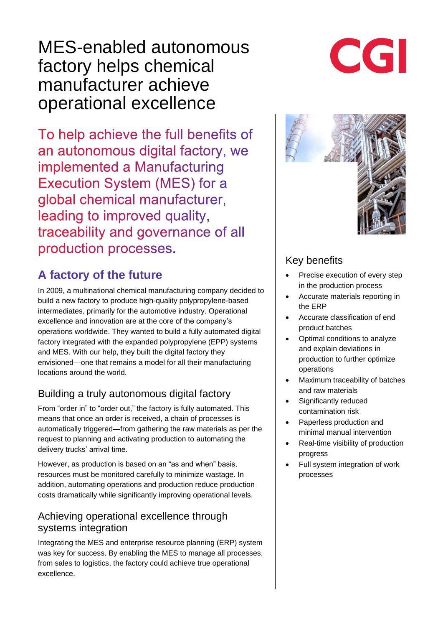# MES-enabled autonomous factory helps chemical manufacturer achieve operational excellence

To help achieve the full benefits of an autonomous digital factory, we implemented a Manufacturing Execution System (MES) for a global chemical manufacturer, leading to improved quality, traceability and governance of all production processes.

# **A factory of the future**

In 2009, a multinational chemical manufacturing company decided to build a new factory to produce high-quality polypropylene-based intermediates, primarily for the automotive industry. Operational excellence and innovation are at the core of the company's operations worldwide. They wanted to build a fully automated digital factory integrated with the expanded polypropylene (EPP) systems and MES. With our help, they built the digital factory they envisioned—one that remains a model for all their manufacturing locations around the world.

## Building a truly autonomous digital factory

From "order in" to "order out," the factory is fully automated. This means that once an order is received, a chain of processes is automatically triggered—from gathering the raw materials as per the request to planning and activating production to automating the delivery trucks' arrival time.

However, as production is based on an "as and when" basis, resources must be monitored carefully to minimize wastage. In addition, automating operations and production reduce production costs dramatically while significantly improving operational levels.

#### Achieving operational excellence through systems integration

Integrating the MES and enterprise resource planning (ERP) system was key for success. By enabling the MES to manage all processes, from sales to logistics, the factory could achieve true operational excellence.





#### Key benefits

- Precise execution of every step in the production process
- Accurate materials reporting in the ERP
- Accurate classification of end product batches
- Optimal conditions to analyze and explain deviations in production to further optimize operations
- Maximum traceability of batches and raw materials
- Significantly reduced contamination risk
- Paperless production and minimal manual intervention
- Real-time visibility of production progress
- Full system integration of work processes